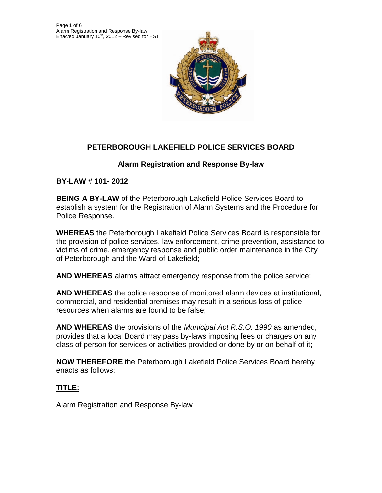

# **PETERBOROUGH LAKEFIELD POLICE SERVICES BOARD**

## **Alarm Registration and Response By-law**

**BY-LAW** # **101- 2012**

**BEING A BY-LAW** of the Peterborough Lakefield Police Services Board to establish a system for the Registration of Alarm Systems and the Procedure for Police Response.

**WHEREAS** the Peterborough Lakefield Police Services Board is responsible for the provision of police services, law enforcement, crime prevention, assistance to victims of crime, emergency response and public order maintenance in the City of Peterborough and the Ward of Lakefield;

**AND WHEREAS** alarms attract emergency response from the police service;

**AND WHEREAS** the police response of monitored alarm devices at institutional, commercial, and residential premises may result in a serious loss of police resources when alarms are found to be false;

**AND WHEREAS** the provisions of the *Municipal Act R.S.O. 1990* as amended, provides that a local Board may pass by-laws imposing fees or charges on any class of person for services or activities provided or done by or on behalf of it;

**NOW THEREFORE** the Peterborough Lakefield Police Services Board hereby enacts as follows:

# **TITLE:**

Alarm Registration and Response By-law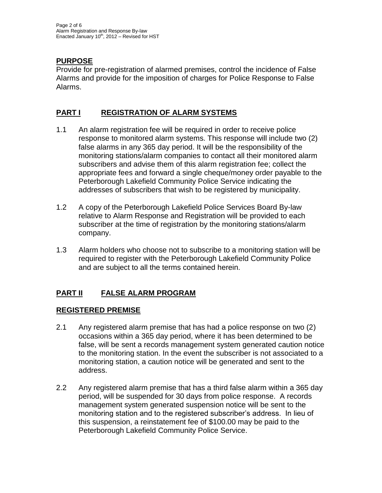# **PURPOSE**

Provide for pre-registration of alarmed premises, control the incidence of False Alarms and provide for the imposition of charges for Police Response to False Alarms.

## **PART I REGISTRATION OF ALARM SYSTEMS**

- 1.1 An alarm registration fee will be required in order to receive police response to monitored alarm systems. This response will include two (2) false alarms in any 365 day period. It will be the responsibility of the monitoring stations/alarm companies to contact all their monitored alarm subscribers and advise them of this alarm registration fee; collect the appropriate fees and forward a single cheque/money order payable to the Peterborough Lakefield Community Police Service indicating the addresses of subscribers that wish to be registered by municipality.
- 1.2 A copy of the Peterborough Lakefield Police Services Board By-law relative to Alarm Response and Registration will be provided to each subscriber at the time of registration by the monitoring stations/alarm company.
- 1.3 Alarm holders who choose not to subscribe to a monitoring station will be required to register with the Peterborough Lakefield Community Police and are subject to all the terms contained herein.

# **PART II FALSE ALARM PROGRAM**

## **REGISTERED PREMISE**

- 2.1 Any registered alarm premise that has had a police response on two (2) occasions within a 365 day period, where it has been determined to be false, will be sent a records management system generated caution notice to the monitoring station. In the event the subscriber is not associated to a monitoring station, a caution notice will be generated and sent to the address.
- 2.2 Any registered alarm premise that has a third false alarm within a 365 day period, will be suspended for 30 days from police response. A records management system generated suspension notice will be sent to the monitoring station and to the registered subscriber's address. In lieu of this suspension, a reinstatement fee of \$100.00 may be paid to the Peterborough Lakefield Community Police Service.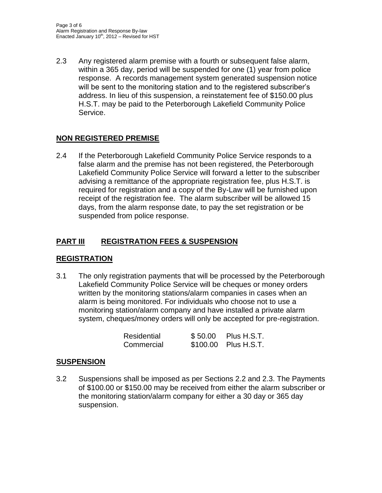2.3 Any registered alarm premise with a fourth or subsequent false alarm, within a 365 day, period will be suspended for one (1) year from police response. A records management system generated suspension notice will be sent to the monitoring station and to the registered subscriber's address. In lieu of this suspension, a reinstatement fee of \$150.00 plus H.S.T. may be paid to the Peterborough Lakefield Community Police Service.

## **NON REGISTERED PREMISE**

2.4 If the Peterborough Lakefield Community Police Service responds to a false alarm and the premise has not been registered, the Peterborough Lakefield Community Police Service will forward a letter to the subscriber advising a remittance of the appropriate registration fee, plus H.S.T. is required for registration and a copy of the By-Law will be furnished upon receipt of the registration fee. The alarm subscriber will be allowed 15 days, from the alarm response date, to pay the set registration or be suspended from police response.

## **PART III REGISTRATION FEES & SUSPENSION**

## **REGISTRATION**

3.1 The only registration payments that will be processed by the Peterborough Lakefield Community Police Service will be cheques or money orders written by the monitoring stations/alarm companies in cases when an alarm is being monitored. For individuals who choose not to use a monitoring station/alarm company and have installed a private alarm system, cheques/money orders will only be accepted for pre-registration.

| Residential | \$50.00 | Plus H.S.T.          |
|-------------|---------|----------------------|
| Commercial  |         | \$100.00 Plus H.S.T. |

## **SUSPENSION**

3.2Suspensions shall be imposed as per Sections 2.2 and 2.3. The Payments of \$100.00 or \$150.00 may be received from either the alarm subscriber or the monitoring station/alarm company for either a 30 day or 365 day suspension.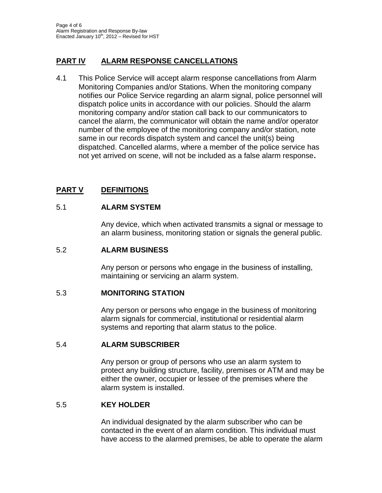## **PART IV ALARM RESPONSE CANCELLATIONS**

4.1 This Police Service will accept alarm response cancellations from Alarm Monitoring Companies and/or Stations. When the monitoring company notifies our Police Service regarding an alarm signal, police personnel will dispatch police units in accordance with our policies. Should the alarm monitoring company and/or station call back to our communicators to cancel the alarm, the communicator will obtain the name and/or operator number of the employee of the monitoring company and/or station, note same in our records dispatch system and cancel the unit(s) being dispatched. Cancelled alarms, where a member of the police service has not yet arrived on scene, will not be included as a false alarm response**.**

# **PART V DEFINITIONS**

#### 5.1 **ALARM SYSTEM**

Any device, which when activated transmits a signal or message to an alarm business, monitoring station or signals the general public.

#### 5.2 **ALARM BUSINESS**

Any person or persons who engage in the business of installing, maintaining or servicing an alarm system.

#### 5.3 **MONITORING STATION**

Any person or persons who engage in the business of monitoring alarm signals for commercial, institutional or residential alarm systems and reporting that alarm status to the police.

#### 5.4 **ALARM SUBSCRIBER**

Any person or group of persons who use an alarm system to protect any building structure, facility, premises or ATM and may be either the owner, occupier or lessee of the premises where the alarm system is installed.

#### 5.5 **KEY HOLDER**

An individual designated by the alarm subscriber who can be contacted in the event of an alarm condition. This individual must have access to the alarmed premises, be able to operate the alarm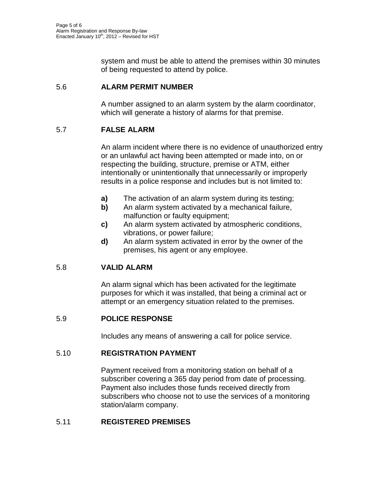system and must be able to attend the premises within 30 minutes of being requested to attend by police.

#### 5.6 **ALARM PERMIT NUMBER**

A number assigned to an alarm system by the alarm coordinator, which will generate a history of alarms for that premise.

### 5.7 **FALSE ALARM**

An alarm incident where there is no evidence of unauthorized entry or an unlawful act having been attempted or made into, on or respecting the building, structure, premise or ATM, either intentionally or unintentionally that unnecessarily or improperly results in a police response and includes but is not limited to:

- **a)** The activation of an alarm system during its testing;
- **b)** An alarm system activated by a mechanical failure, malfunction or faulty equipment;
- **c)** An alarm system activated by atmospheric conditions, vibrations, or power failure;
- **d)** An alarm system activated in error by the owner of the premises, his agent or any employee.

## 5.8 **VALID ALARM**

An alarm signal which has been activated for the legitimate purposes for which it was installed, that being a criminal act or attempt or an emergency situation related to the premises.

#### 5.9 **POLICE RESPONSE**

Includes any means of answering a call for police service.

#### 5.10 **REGISTRATION PAYMENT**

Payment received from a monitoring station on behalf of a subscriber covering a 365 day period from date of processing. Payment also includes those funds received directly from subscribers who choose not to use the services of a monitoring station/alarm company.

#### 5.11 **REGISTERED PREMISES**